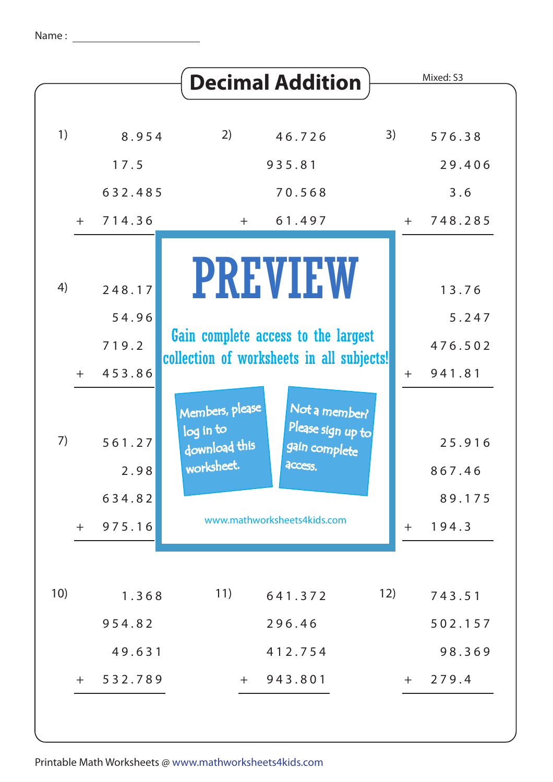|     |     |                           |                                                             | <b>Decimal Addition</b>                                                          |     |     | Mixed: S3                   |
|-----|-----|---------------------------|-------------------------------------------------------------|----------------------------------------------------------------------------------|-----|-----|-----------------------------|
|     |     |                           |                                                             |                                                                                  |     |     |                             |
| 1)  |     | 8.954                     | 2)                                                          | 46.726                                                                           | 3)  |     | 576.38                      |
|     |     | 17.5                      |                                                             | 935.81                                                                           |     |     | 29.406                      |
|     |     | 632.485                   |                                                             | 70.568                                                                           |     |     | 3.6                         |
|     | $+$ | 714.36                    | $+$                                                         | 61.497                                                                           |     |     | $+ 748.285$                 |
| 4)  |     | 248.17                    |                                                             | <b>PREVIEW</b>                                                                   |     |     | 13.76                       |
|     |     | 54.96                     |                                                             |                                                                                  |     |     | 5.247                       |
|     |     | 719.2                     |                                                             | Gain complete access to the largest<br>collection of worksheets in all subjects! |     |     | 476.502                     |
|     | $+$ | 453.86                    |                                                             |                                                                                  |     | $+$ | 941.81                      |
| 7)  |     | 561.27<br>2.98<br>634.82  | Members, please<br>log in to<br>download this<br>worksheet. | Not a member?<br>Please sign up to<br>gain complete<br>access.                   |     |     | 25.916<br>867.46<br>89.175  |
|     | $+$ | 975.16                    |                                                             | www.mathworksheets4kids.com                                                      |     | $+$ | 194.3                       |
| 10) |     | 1.368<br>954.82<br>49.631 | 11)                                                         | 641.372<br>296.46<br>412.754                                                     | 12) |     | 743.51<br>502.157<br>98.369 |
|     | $+$ | 532.789                   | $+$                                                         | 943.801                                                                          |     | $+$ | 279.4                       |
|     |     |                           |                                                             |                                                                                  |     |     |                             |